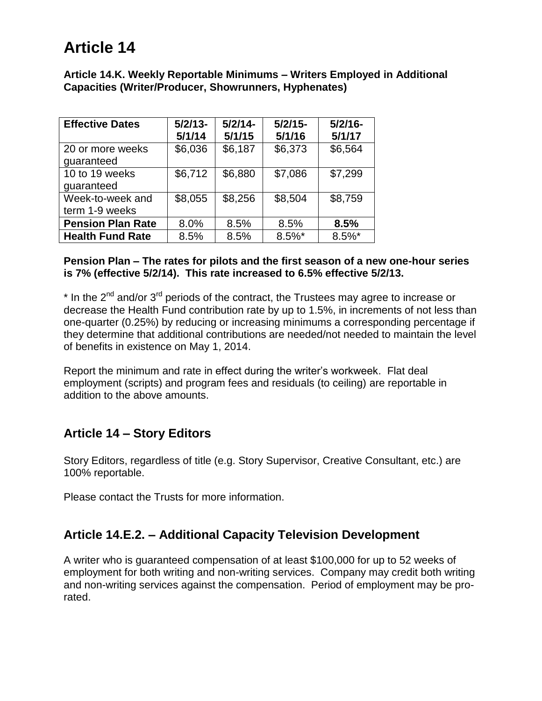# **Article 14**

**Article 14.K. Weekly Reportable Minimums – Writers Employed in Additional Capacities (Writer/Producer, Showrunners, Hyphenates)**

| <b>Effective Dates</b>             | $5/2/13-$<br>5/1/14 | $5/2/14-$<br>5/1/15 | $5/2/15-$<br>5/1/16 | $5/2/16-$<br>5/1/17 |
|------------------------------------|---------------------|---------------------|---------------------|---------------------|
| 20 or more weeks<br>guaranteed     | \$6,036             | \$6,187             | \$6,373             | \$6,564             |
| 10 to 19 weeks<br>guaranteed       | \$6,712             | \$6,880             | \$7,086             | \$7,299             |
| Week-to-week and<br>term 1-9 weeks | \$8,055             | \$8,256             | \$8,504             | \$8,759             |
| <b>Pension Plan Rate</b>           | 8.0%                | 8.5%                | 8.5%                | 8.5%                |
| <b>Health Fund Rate</b>            | 8.5%                | 8.5%                | $8.5\%$ *           | $8.5\%$ *           |

#### **Pension Plan – The rates for pilots and the first season of a new one-hour series is 7% (effective 5/2/14). This rate increased to 6.5% effective 5/2/13.**

 $*$  In the 2<sup>nd</sup> and/or 3<sup>rd</sup> periods of the contract, the Trustees may agree to increase or decrease the Health Fund contribution rate by up to 1.5%, in increments of not less than one-quarter (0.25%) by reducing or increasing minimums a corresponding percentage if they determine that additional contributions are needed/not needed to maintain the level of benefits in existence on May 1, 2014.

Report the minimum and rate in effect during the writer's workweek. Flat deal employment (scripts) and program fees and residuals (to ceiling) are reportable in addition to the above amounts.

## **Article 14 – Story Editors**

Story Editors, regardless of title (e.g. Story Supervisor, Creative Consultant, etc.) are 100% reportable.

Please contact the Trusts for more information.

## **Article 14.E.2. – Additional Capacity Television Development**

A writer who is guaranteed compensation of at least \$100,000 for up to 52 weeks of employment for both writing and non-writing services. Company may credit both writing and non-writing services against the compensation. Period of employment may be prorated.